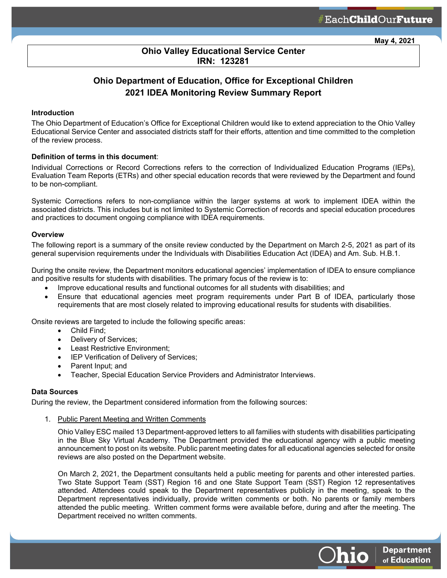**May 4, 2021**

## **Ohio Valley Educational Service Center IRN: 123281**

# **Ohio Department of Education, Office for Exceptional Children 2021 IDEA Monitoring Review Summary Report**

## **Introduction**

The Ohio Department of Education's Office for Exceptional Children would like to extend appreciation to the Ohio Valley Educational Service Center and associated districts staff for their efforts, attention and time committed to the completion of the review process.

#### **Definition of terms in this document**:

Individual Corrections or Record Corrections refers to the correction of Individualized Education Programs (IEPs), Evaluation Team Reports (ETRs) and other special education records that were reviewed by the Department and found to be non-compliant.

Systemic Corrections refers to non-compliance within the larger systems at work to implement IDEA within the associated districts. This includes but is not limited to Systemic Correction of records and special education procedures and practices to document ongoing compliance with IDEA requirements.

#### **Overview**

The following report is a summary of the onsite review conducted by the Department on March 2-5, 2021 as part of its general supervision requirements under the Individuals with Disabilities Education Act (IDEA) and Am. Sub. H.B.1.

During the onsite review, the Department monitors educational agencies' implementation of IDEA to ensure compliance and positive results for students with disabilities. The primary focus of the review is to:

- Improve educational results and functional outcomes for all students with disabilities; and
- Ensure that educational agencies meet program requirements under Part B of IDEA, particularly those requirements that are most closely related to improving educational results for students with disabilities.

Onsite reviews are targeted to include the following specific areas:

- Child Find;
- Delivery of Services;
- Least Restrictive Environment;
- IEP Verification of Delivery of Services;
- Parent Input; and
- Teacher, Special Education Service Providers and Administrator Interviews.

#### **Data Sources**

During the review, the Department considered information from the following sources:

1. Public Parent Meeting and Written Comments

Ohio Valley ESC mailed 13 Department-approved letters to all families with students with disabilities participating in the Blue Sky Virtual Academy. The Department provided the educational agency with a public meeting announcement to post on its website. Public parent meeting dates for all educational agencies selected for onsite reviews are also posted on the Department website.

On March 2, 2021, the Department consultants held a public meeting for parents and other interested parties. Two State Support Team (SST) Region 16 and one State Support Team (SST) Region 12 representatives attended. Attendees could speak to the Department representatives publicly in the meeting, speak to the Department representatives individually, provide written comments or both. No parents or family members attended the public meeting. Written comment forms were available before, during and after the meeting. The Department received no written comments.

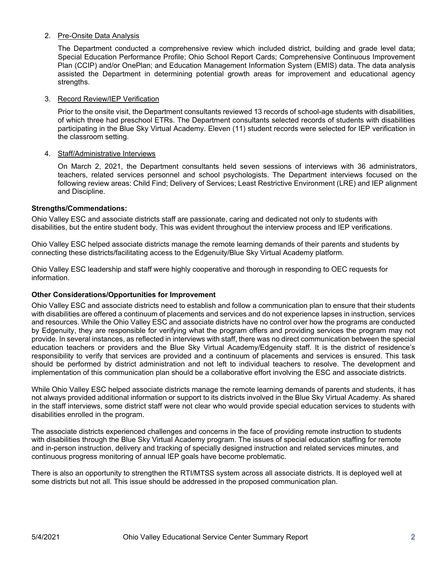## 2. Pre-Onsite Data Analysis

The Department conducted a comprehensive review which included district, building and grade level data; Special Education Performance Profile; Ohio School Report Cards; Comprehensive Continuous Improvement Plan (CCIP) and/or OnePlan; and Education Management Information System (EMIS) data. The data analysis assisted the Department in determining potential growth areas for improvement and educational agency strengths.

## 3. Record Review/IEP Verification

Prior to the onsite visit, the Department consultants reviewed 13 records of school-age students with disabilities, of which three had preschool ETRs. The Department consultants selected records of students with disabilities participating in the Blue Sky Virtual Academy. Eleven (11) student records were selected for IEP verification in the classroom setting.

## 4. Staff/Administrative Interviews

On March 2, 2021, the Department consultants held seven sessions of interviews with 36 administrators, teachers, related services personnel and school psychologists. The Department interviews focused on the following review areas: Child Find; Delivery of Services; Least Restrictive Environment (LRE) and IEP alignment and Discipline.

## **Strengths/Commendations:**

Ohio Valley ESC and associate districts staff are passionate, caring and dedicated not only to students with disabilities, but the entire student body. This was evident throughout the interview process and IEP verifications.

Ohio Valley ESC helped associate districts manage the remote learning demands of their parents and students by connecting these districts/facilitating access to the Edgenuity/Blue Sky Virtual Academy platform.

Ohio Valley ESC leadership and staff were highly cooperative and thorough in responding to OEC requests for information.

#### **Other Considerations/Opportunities for Improvement**

Ohio Valley ESC and associate districts need to establish and follow a communication plan to ensure that their students with disabilities are offered a continuum of placements and services and do not experience lapses in instruction, services and resources. While the Ohio Valley ESC and associate districts have no control over how the programs are conducted by Edgenuity, they are responsible for verifying what the program offers and providing services the program may not provide. In several instances, as reflected in interviews with staff, there was no direct communication between the special education teachers or providers and the Blue Sky Virtual Academy/Edgenuity staff. It is the district of residence's responsibility to verify that services are provided and a continuum of placements and services is ensured. This task should be performed by district administration and not left to individual teachers to resolve. The development and implementation of this communication plan should be a collaborative effort involving the ESC and associate districts.

While Ohio Valley ESC helped associate districts manage the remote learning demands of parents and students, it has not always provided additional information or support to its districts involved in the Blue Sky Virtual Academy. As shared in the staff interviews, some district staff were not clear who would provide special education services to students with disabilities enrolled in the program.

The associate districts experienced challenges and concerns in the face of providing remote instruction to students with disabilities through the Blue Sky Virtual Academy program. The issues of special education staffing for remote and in-person instruction, delivery and tracking of specially designed instruction and related services minutes, and continuous progress monitoring of annual IEP goals have become problematic.

There is also an opportunity to strengthen the RTI/MTSS system across all associate districts. It is deployed well at some districts but not all. This issue should be addressed in the proposed communication plan.